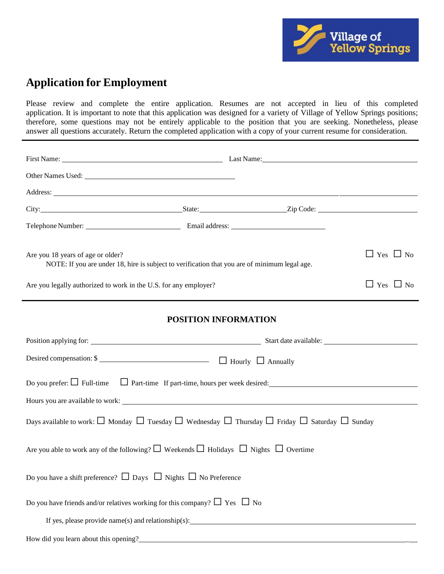

# **Application for Employment**

Please review and complete the entire application. Resumes are not accepted in lieu of this completed application. It is important to note that this application was designed for a variety of Village of Yellow Springs positions; therefore, some questions may not be entirely applicable to the position that you are seeking. Nonetheless, please answer all questions accurately. Return the completed application with a copy of your current resume for consideration.

| Address: National Address: National Address: National Address: National Address: National Address: National Address: National Address: National Address: National Address: National Address: National Address: National Addres |  |                      |                      |  |  |
|--------------------------------------------------------------------------------------------------------------------------------------------------------------------------------------------------------------------------------|--|----------------------|----------------------|--|--|
|                                                                                                                                                                                                                                |  |                      |                      |  |  |
|                                                                                                                                                                                                                                |  |                      |                      |  |  |
| Are you 18 years of age or older?<br>NOTE: If you are under 18, hire is subject to verification that you are of minimum legal age.                                                                                             |  | $\Box$ Yes $\Box$ No |                      |  |  |
| Are you legally authorized to work in the U.S. for any employer?                                                                                                                                                               |  |                      | $\Box$ Yes $\Box$ No |  |  |
| <b>POSITION INFORMATION</b>                                                                                                                                                                                                    |  |                      |                      |  |  |
|                                                                                                                                                                                                                                |  |                      |                      |  |  |
|                                                                                                                                                                                                                                |  |                      |                      |  |  |
| Do you prefer: $\Box$ Full-time $\Box$ Part-time If part-time, hours per week desired:                                                                                                                                         |  |                      |                      |  |  |
|                                                                                                                                                                                                                                |  |                      |                      |  |  |
| Days available to work: $\square$ Monday $\square$ Tuesday $\square$ Wednesday $\square$ Thursday $\square$ Friday $\square$ Saturday $\square$ Sunday                                                                         |  |                      |                      |  |  |
| Are you able to work any of the following? $\square$ Weekends $\square$ Holidays $\square$ Nights $\square$ Overtime                                                                                                           |  |                      |                      |  |  |
| Do you have a shift preference? $\Box$ Days $\Box$ Nights $\Box$ No Preference                                                                                                                                                 |  |                      |                      |  |  |
| Do you have friends and/or relatives working for this company? $\Box$ Yes $\Box$ No                                                                                                                                            |  |                      |                      |  |  |
| If yes, please provide name(s) and relationship(s): $\frac{1}{2}$                                                                                                                                                              |  |                      |                      |  |  |
| How did you learn about this opening?                                                                                                                                                                                          |  |                      |                      |  |  |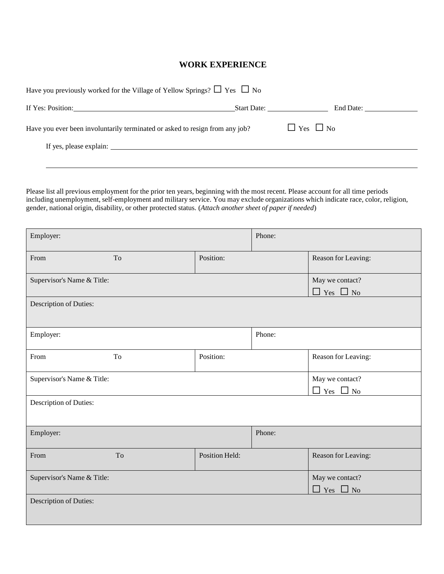## **WORK EXPERIENCE**

| Have you previously worked for the Village of Yellow Springs? $\Box$ Yes $\Box$ No |             |                      |  |  |  |
|------------------------------------------------------------------------------------|-------------|----------------------|--|--|--|
|                                                                                    | Start Date: |                      |  |  |  |
| Have you ever been involuntarily terminated or asked to resign from any job?       |             | $\Box$ Yes $\Box$ No |  |  |  |
|                                                                                    |             |                      |  |  |  |
|                                                                                    |             |                      |  |  |  |

Please list all previous employment for the prior ten years, beginning with the most recent. Please account for all time periods including unemployment, self-employment and military service. You may exclude organizations which indicate race, color, religion, gender, national origin, disability, or other protected status. (*Attach another sheet of paper if needed*)

| Employer:                  |    |                | Phone: |                                         |
|----------------------------|----|----------------|--------|-----------------------------------------|
| From                       | To | Position:      |        | Reason for Leaving:                     |
| Supervisor's Name & Title: |    |                |        | May we contact?<br>$\Box$ Yes $\Box$ No |
| Description of Duties:     |    |                |        |                                         |
| Employer:                  |    |                | Phone: |                                         |
| From                       | To | Position:      |        | Reason for Leaving:                     |
| Supervisor's Name & Title: |    |                |        | May we contact?<br>$\Box$ Yes $\Box$ No |
| Description of Duties:     |    |                |        |                                         |
| Employer:                  |    |                | Phone: |                                         |
| From                       | To | Position Held: |        | Reason for Leaving:                     |
| Supervisor's Name & Title: |    |                |        | May we contact?<br>$\Box$ Yes $\Box$ No |
| Description of Duties:     |    |                |        |                                         |